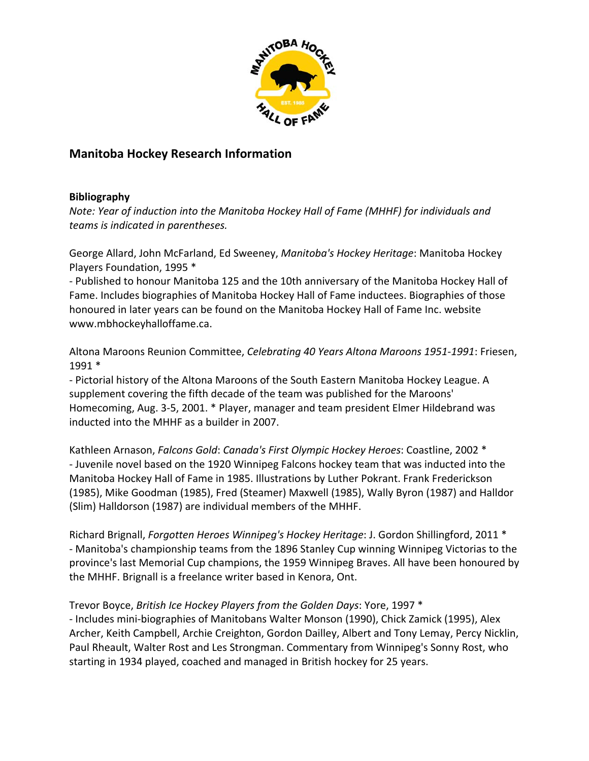

# **Manitoba Hockey Research Information**

#### **Bibliography**

*Note: Year of induction into the Manitoba Hockey Hall of Fame (MHHF) for individuals and teams is indicated in parentheses.*

George Allard, John McFarland, Ed Sweeney, *Manitoba's Hockey Heritage*: Manitoba Hockey Players Foundation, 1995 \*

‐ Published to honour Manitoba 125 and the 10th anniversary of the Manitoba Hockey Hall of Fame. Includes biographies of Manitoba Hockey Hall of Fame inductees. Biographies of those honoured in later years can be found on the Manitoba Hockey Hall of Fame Inc. website www.mbhockeyhalloffame.ca.

Altona Maroons Reunion Committee, *Celebrating 40 Years Altona Maroons 1951‐1991*: Friesen, 1991 \*

‐ Pictorial history of the Altona Maroons of the South Eastern Manitoba Hockey League. A supplement covering the fifth decade of the team was published for the Maroons' Homecoming, Aug. 3‐5, 2001. \* Player, manager and team president Elmer Hildebrand was inducted into the MHHF as a builder in 2007.

Kathleen Arnason, *Falcons Gold*: *Canada's First Olympic Hockey Heroes*: Coastline, 2002 \* ‐ Juvenile novel based on the 1920 Winnipeg Falcons hockey team that was inducted into the Manitoba Hockey Hall of Fame in 1985. Illustrations by Luther Pokrant. Frank Frederickson (1985), Mike Goodman (1985), Fred (Steamer) Maxwell (1985), Wally Byron (1987) and Halldor (Slim) Halldorson (1987) are individual members of the MHHF.

Richard Brignall, *Forgotten Heroes Winnipeg's Hockey Heritage*: J. Gordon Shillingford, 2011 \* ‐ Manitoba's championship teams from the 1896 Stanley Cup winning Winnipeg Victorias to the province's last Memorial Cup champions, the 1959 Winnipeg Braves. All have been honoured by the MHHF. Brignall is a freelance writer based in Kenora, Ont.

#### Trevor Boyce, *British Ice Hockey Players from the Golden Days*: Yore, 1997 \*

‐ Includes mini‐biographies of Manitobans Walter Monson (1990), Chick Zamick (1995), Alex Archer, Keith Campbell, Archie Creighton, Gordon Dailley, Albert and Tony Lemay, Percy Nicklin, Paul Rheault, Walter Rost and Les Strongman. Commentary from Winnipeg's Sonny Rost, who starting in 1934 played, coached and managed in British hockey for 25 years.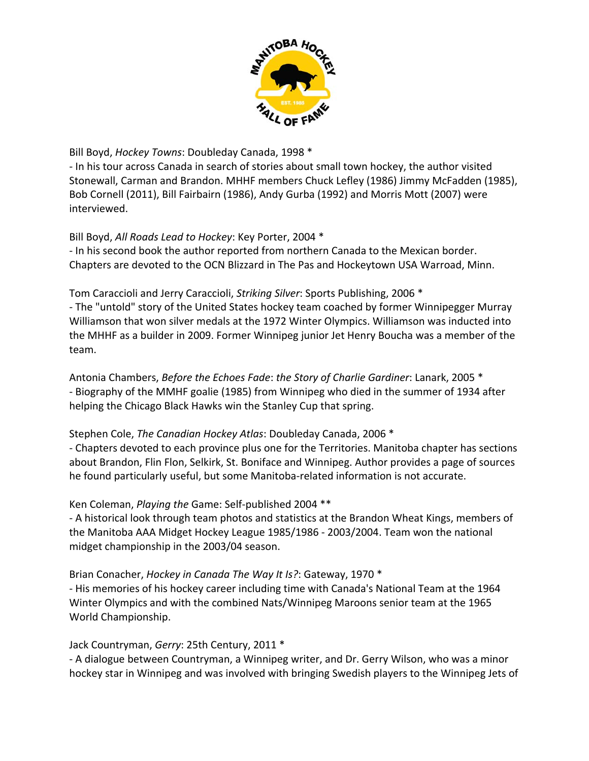

Bill Boyd, *Hockey Towns*: Doubleday Canada, 1998 \*

‐ In his tour across Canada in search of stories about small town hockey, the author visited Stonewall, Carman and Brandon. MHHF members Chuck Lefley (1986) Jimmy McFadden (1985), Bob Cornell (2011), Bill Fairbairn (1986), Andy Gurba (1992) and Morris Mott (2007) were interviewed.

Bill Boyd, *All Roads Lead to Hockey*: Key Porter, 2004 \*

‐ In his second book the author reported from northern Canada to the Mexican border. Chapters are devoted to the OCN Blizzard in The Pas and Hockeytown USA Warroad, Minn.

Tom Caraccioli and Jerry Caraccioli, *Striking Silver*: Sports Publishing, 2006 \*

‐ The "untold" story of the United States hockey team coached by former Winnipegger Murray Williamson that won silver medals at the 1972 Winter Olympics. Williamson was inducted into the MHHF as a builder in 2009. Former Winnipeg junior Jet Henry Boucha was a member of the team.

Antonia Chambers, *Before the Echoes Fade*: *the Story of Charlie Gardiner*: Lanark, 2005 \* ‐ Biography of the MMHF goalie (1985) from Winnipeg who died in the summer of 1934 after helping the Chicago Black Hawks win the Stanley Cup that spring.

### Stephen Cole, *The Canadian Hockey Atlas*: Doubleday Canada, 2006 \*

‐ Chapters devoted to each province plus one for the Territories. Manitoba chapter has sections about Brandon, Flin Flon, Selkirk, St. Boniface and Winnipeg. Author provides a page of sources he found particularly useful, but some Manitoba‐related information is not accurate.

Ken Coleman, *Playing the* Game: Self‐published 2004 \*\*

‐ A historical look through team photos and statistics at the Brandon Wheat Kings, members of the Manitoba AAA Midget Hockey League 1985/1986 ‐ 2003/2004. Team won the national midget championship in the 2003/04 season.

Brian Conacher, *Hockey in Canada The Way It Is?*: Gateway, 1970 \*

‐ His memories of his hockey career including time with Canada's National Team at the 1964 Winter Olympics and with the combined Nats/Winnipeg Maroons senior team at the 1965 World Championship.

Jack Countryman, *Gerry*: 25th Century, 2011 \*

‐ A dialogue between Countryman, a Winnipeg writer, and Dr. Gerry Wilson, who was a minor hockey star in Winnipeg and was involved with bringing Swedish players to the Winnipeg Jets of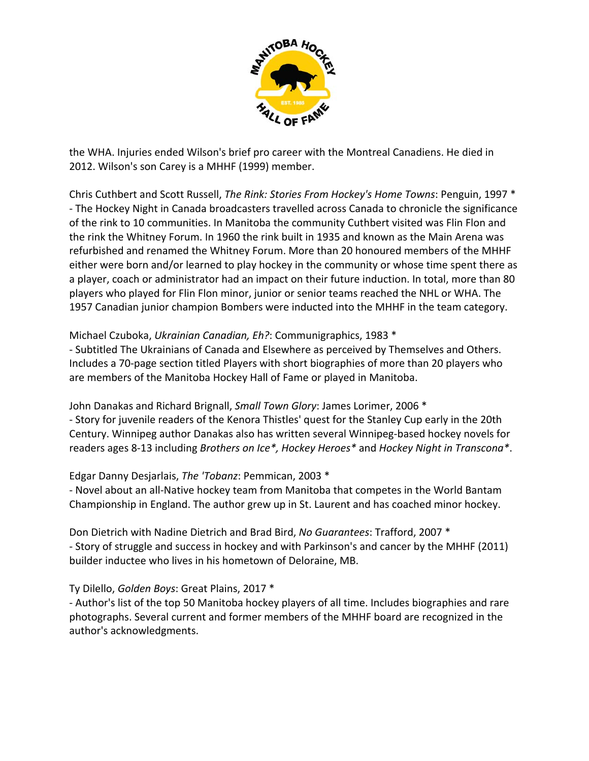

the WHA. Injuries ended Wilson's brief pro career with the Montreal Canadiens. He died in 2012. Wilson's son Carey is a MHHF (1999) member.

Chris Cuthbert and Scott Russell, *The Rink: Stories From Hockey's Home Towns*: Penguin, 1997 \* ‐ The Hockey Night in Canada broadcasters travelled across Canada to chronicle the significance of the rink to 10 communities. In Manitoba the community Cuthbert visited was Flin Flon and the rink the Whitney Forum. In 1960 the rink built in 1935 and known as the Main Arena was refurbished and renamed the Whitney Forum. More than 20 honoured members of the MHHF either were born and/or learned to play hockey in the community or whose time spent there as a player, coach or administrator had an impact on their future induction. In total, more than 80 players who played for Flin Flon minor, junior or senior teams reached the NHL or WHA. The 1957 Canadian junior champion Bombers were inducted into the MHHF in the team category.

### Michael Czuboka, *Ukrainian Canadian, Eh?*: Communigraphics, 1983 \*

‐ Subtitled The Ukrainians of Canada and Elsewhere as perceived by Themselves and Others. Includes a 70‐page section titled Players with short biographies of more than 20 players who are members of the Manitoba Hockey Hall of Fame or played in Manitoba.

John Danakas and Richard Brignall, *Small Town Glory*: James Lorimer, 2006 \* ‐ Story for juvenile readers of the Kenora Thistles' quest for the Stanley Cup early in the 20th

Century. Winnipeg author Danakas also has written several Winnipeg‐based hockey novels for readers ages 8‐13 including *Brothers on Ice\*, Hockey Heroes\** and *Hockey Night in Transcona\**.

# Edgar Danny Desjarlais, *The 'Tobanz*: Pemmican, 2003 \*

‐ Novel about an all‐Native hockey team from Manitoba that competes in the World Bantam Championship in England. The author grew up in St. Laurent and has coached minor hockey.

Don Dietrich with Nadine Dietrich and Brad Bird, *No Guarantees*: Trafford, 2007 \* ‐ Story of struggle and success in hockey and with Parkinson's and cancer by the MHHF (2011) builder inductee who lives in his hometown of Deloraine, MB.

# Ty Dilello, *Golden Boys*: Great Plains, 2017 \*

‐ Author's list of the top 50 Manitoba hockey players of all time. Includes biographies and rare photographs. Several current and former members of the MHHF board are recognized in the author's acknowledgments.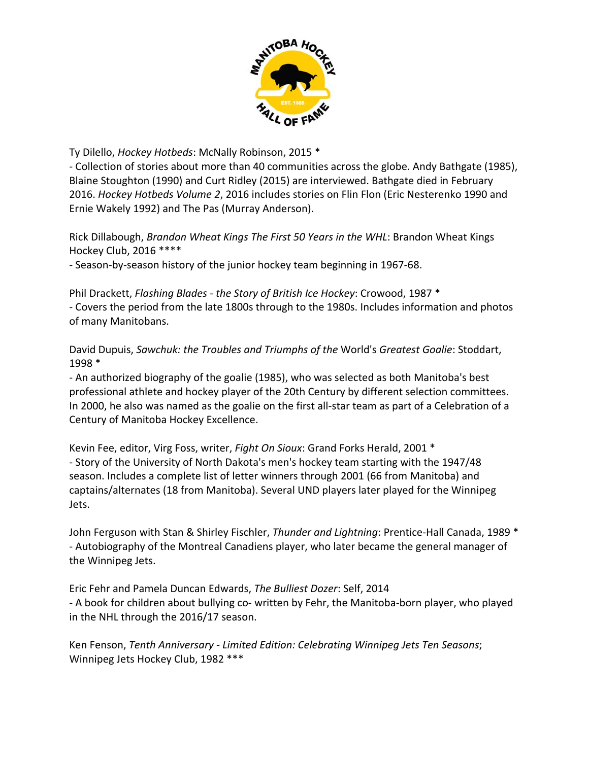

Ty Dilello, *Hockey Hotbeds*: McNally Robinson, 2015 \*

‐ Collection of stories about more than 40 communities across the globe. Andy Bathgate (1985), Blaine Stoughton (1990) and Curt Ridley (2015) are interviewed. Bathgate died in February 2016. *Hockey Hotbeds Volume 2*, 2016 includes stories on Flin Flon (Eric Nesterenko 1990 and Ernie Wakely 1992) and The Pas (Murray Anderson).

Rick Dillabough, *Brandon Wheat Kings The First 50 Years in the WHL*: Brandon Wheat Kings Hockey Club, 2016 \*\*\*\*

‐ Season‐by‐season history of the junior hockey team beginning in 1967‐68.

Phil Drackett, *Flashing Blades ‐ the Story of British Ice Hockey*: Crowood, 1987 \* ‐ Covers the period from the late 1800s through to the 1980s. Includes information and photos of many Manitobans.

David Dupuis, *Sawchuk: the Troubles and Triumphs of the* World's *Greatest Goalie*: Stoddart, 1998 \*

‐ An authorized biography of the goalie (1985), who was selected as both Manitoba's best professional athlete and hockey player of the 20th Century by different selection committees. In 2000, he also was named as the goalie on the first all‐star team as part of a Celebration of a Century of Manitoba Hockey Excellence.

Kevin Fee, editor, Virg Foss, writer, *Fight On Sioux*: Grand Forks Herald, 2001 \* ‐ Story of the University of North Dakota's men's hockey team starting with the 1947/48 season. Includes a complete list of letter winners through 2001 (66 from Manitoba) and captains/alternates (18 from Manitoba). Several UND players later played for the Winnipeg Jets.

John Ferguson with Stan & Shirley Fischler, *Thunder and Lightning*: Prentice‐Hall Canada, 1989 \* ‐ Autobiography of the Montreal Canadiens player, who later became the general manager of the Winnipeg Jets.

Eric Fehr and Pamela Duncan Edwards, *The Bulliest Dozer*: Self, 2014 ‐ A book for children about bullying co‐ written by Fehr, the Manitoba‐born player, who played in the NHL through the 2016/17 season.

Ken Fenson, *Tenth Anniversary ‐ Limited Edition: Celebrating Winnipeg Jets Ten Seasons*; Winnipeg Jets Hockey Club, 1982 \*\*\*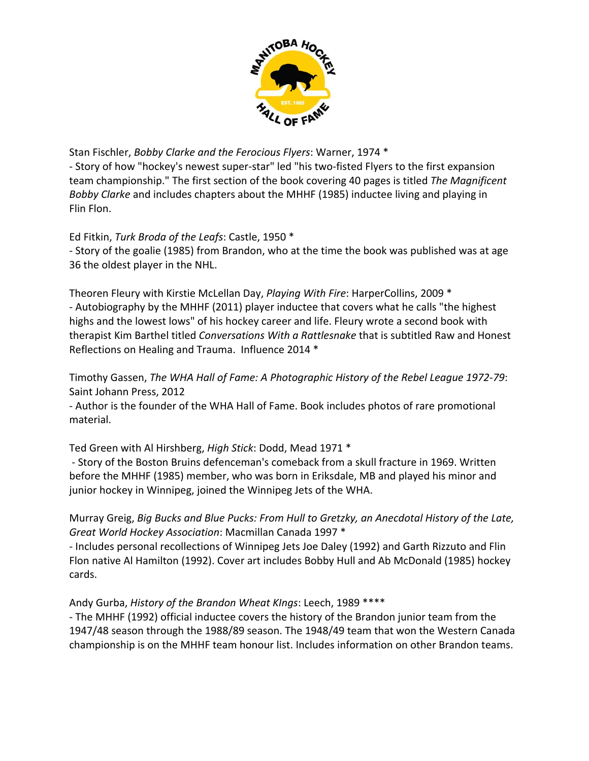

Stan Fischler, *Bobby Clarke and the Ferocious Flyers*: Warner, 1974 \*

‐ Story of how "hockey's newest super‐star" led "his two‐fisted Flyers to the first expansion team championship." The first section of the book covering 40 pages is titled *The Magnificent Bobby Clarke* and includes chapters about the MHHF (1985) inductee living and playing in Flin Flon.

Ed Fitkin, *Turk Broda of the Leafs*: Castle, 1950 \*

‐ Story of the goalie (1985) from Brandon, who at the time the book was published was at age 36 the oldest player in the NHL.

Theoren Fleury with Kirstie McLellan Day, *Playing With Fire*: HarperCollins, 2009 \* ‐ Autobiography by the MHHF (2011) player inductee that covers what he calls "the highest highs and the lowest lows" of his hockey career and life. Fleury wrote a second book with therapist Kim Barthel titled *Conversations With a Rattlesnake* that is subtitled Raw and Honest Reflections on Healing and Trauma. Influence 2014 \*

Timothy Gassen, *The WHA Hall of Fame: A Photographic History of the Rebel League 1972‐79*: Saint Johann Press, 2012

‐ Author is the founder of the WHA Hall of Fame. Book includes photos of rare promotional material.

Ted Green with Al Hirshberg, *High Stick*: Dodd, Mead 1971 \*

‐ Story of the Boston Bruins defenceman's comeback from a skull fracture in 1969. Written before the MHHF (1985) member, who was born in Eriksdale, MB and played his minor and junior hockey in Winnipeg, joined the Winnipeg Jets of the WHA.

Murray Greig, *Big Bucks and Blue Pucks: From Hull to Gretzky, an Anecdotal History of the Late, Great World Hockey Association*: Macmillan Canada 1997 \*

‐ Includes personal recollections of Winnipeg Jets Joe Daley (1992) and Garth Rizzuto and Flin Flon native Al Hamilton (1992). Cover art includes Bobby Hull and Ab McDonald (1985) hockey cards.

Andy Gurba, *History of the Brandon Wheat KIngs*: Leech, 1989 \*\*\*\*

‐ The MHHF (1992) official inductee covers the history of the Brandon junior team from the 1947/48 season through the 1988/89 season. The 1948/49 team that won the Western Canada championship is on the MHHF team honour list. Includes information on other Brandon teams.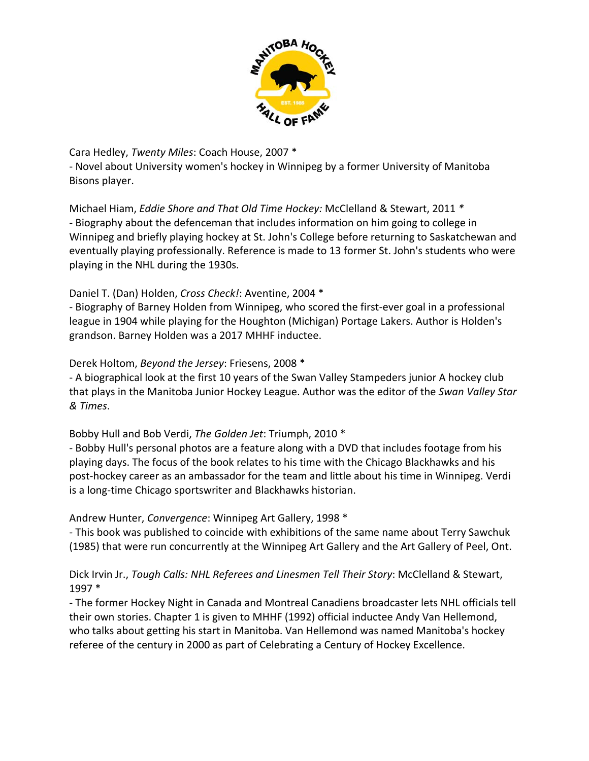

Cara Hedley, *Twenty Miles*: Coach House, 2007 \*

‐ Novel about University women's hockey in Winnipeg by a former University of Manitoba Bisons player.

Michael Hiam, *Eddie Shore and That Old Time Hockey:* McClelland & Stewart, 2011 *\** ‐ Biography about the defenceman that includes information on him going to college in Winnipeg and briefly playing hockey at St. John's College before returning to Saskatchewan and eventually playing professionally. Reference is made to 13 former St. John's students who were playing in the NHL during the 1930s.

### Daniel T. (Dan) Holden, *Cross Check!*: Aventine, 2004 \*

‐ Biography of Barney Holden from Winnipeg, who scored the first‐ever goal in a professional league in 1904 while playing for the Houghton (Michigan) Portage Lakers. Author is Holden's grandson. Barney Holden was a 2017 MHHF inductee.

### Derek Holtom, *Beyond the Jersey*: Friesens, 2008 \*

‐ A biographical look at the first 10 years of the Swan Valley Stampeders junior A hockey club that plays in the Manitoba Junior Hockey League. Author was the editor of the *Swan Valley Star & Times*.

### Bobby Hull and Bob Verdi, *The Golden Jet*: Triumph, 2010 \*

‐ Bobby Hull's personal photos are a feature along with a DVD that includes footage from his playing days. The focus of the book relates to his time with the Chicago Blackhawks and his post‐hockey career as an ambassador for the team and little about his time in Winnipeg. Verdi is a long‐time Chicago sportswriter and Blackhawks historian.

### Andrew Hunter, *Convergence*: Winnipeg Art Gallery, 1998 \*

‐ This book was published to coincide with exhibitions of the same name about Terry Sawchuk (1985) that were run concurrently at the Winnipeg Art Gallery and the Art Gallery of Peel, Ont.

### Dick Irvin Jr., *Tough Calls: NHL Referees and Linesmen Tell Their Story*: McClelland & Stewart, 1997 \*

‐ The former Hockey Night in Canada and Montreal Canadiens broadcaster lets NHL officials tell their own stories. Chapter 1 is given to MHHF (1992) official inductee Andy Van Hellemond, who talks about getting his start in Manitoba. Van Hellemond was named Manitoba's hockey referee of the century in 2000 as part of Celebrating a Century of Hockey Excellence.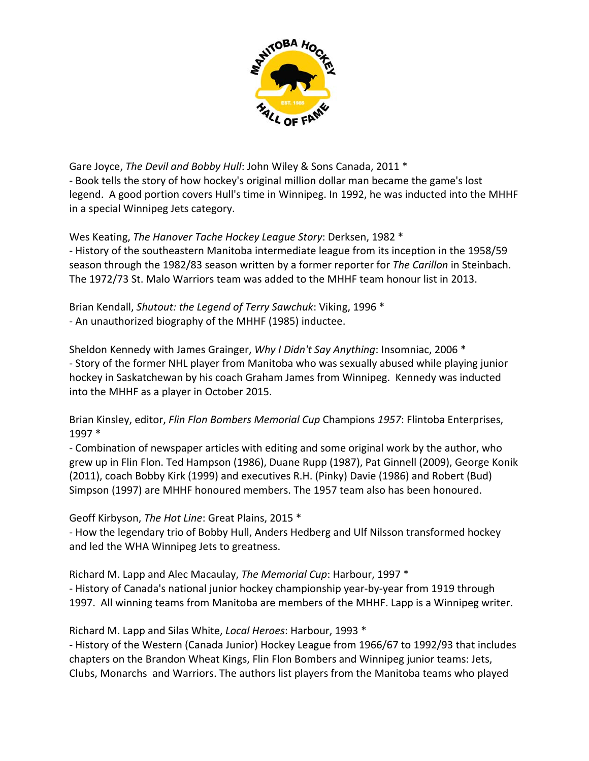

Gare Joyce, *The Devil and Bobby Hull*: John Wiley & Sons Canada, 2011 \* ‐ Book tells the story of how hockey's original million dollar man became the game's lost legend. A good portion covers Hull's time in Winnipeg. In 1992, he was inducted into the MHHF in a special Winnipeg Jets category.

Wes Keating, *The Hanover Tache Hockey League Story*: Derksen, 1982 \* ‐ History of the southeastern Manitoba intermediate league from its inception in the 1958/59 season through the 1982/83 season written by a former reporter for *The Carillon* in Steinbach. The 1972/73 St. Malo Warriors team was added to the MHHF team honour list in 2013.

Brian Kendall, *Shutout: the Legend of Terry Sawchuk*: Viking, 1996 \* ‐ An unauthorized biography of the MHHF (1985) inductee.

Sheldon Kennedy with James Grainger, *Why I Didn't Say Anything*: Insomniac, 2006 \* ‐ Story of the former NHL player from Manitoba who was sexually abused while playing junior hockey in Saskatchewan by his coach Graham James from Winnipeg. Kennedy was inducted into the MHHF as a player in October 2015.

Brian Kinsley, editor, *Flin Flon Bombers Memorial Cup* Champions *1957*: Flintoba Enterprises, 1997 \*

‐ Combination of newspaper articles with editing and some original work by the author, who grew up in Flin Flon. Ted Hampson (1986), Duane Rupp (1987), Pat Ginnell (2009), George Konik (2011), coach Bobby Kirk (1999) and executives R.H. (Pinky) Davie (1986) and Robert (Bud) Simpson (1997) are MHHF honoured members. The 1957 team also has been honoured.

Geoff Kirbyson, *The Hot Line*: Great Plains, 2015 \*

‐ How the legendary trio of Bobby Hull, Anders Hedberg and Ulf Nilsson transformed hockey and led the WHA Winnipeg Jets to greatness.

Richard M. Lapp and Alec Macaulay, *The Memorial Cup*: Harbour, 1997 \* ‐ History of Canada's national junior hockey championship year‐by‐year from 1919 through 1997. All winning teams from Manitoba are members of the MHHF. Lapp is a Winnipeg writer.

Richard M. Lapp and Silas White, *Local Heroes*: Harbour, 1993 \*

‐ History of the Western (Canada Junior) Hockey League from 1966/67 to 1992/93 that includes chapters on the Brandon Wheat Kings, Flin Flon Bombers and Winnipeg junior teams: Jets, Clubs, Monarchs and Warriors. The authors list players from the Manitoba teams who played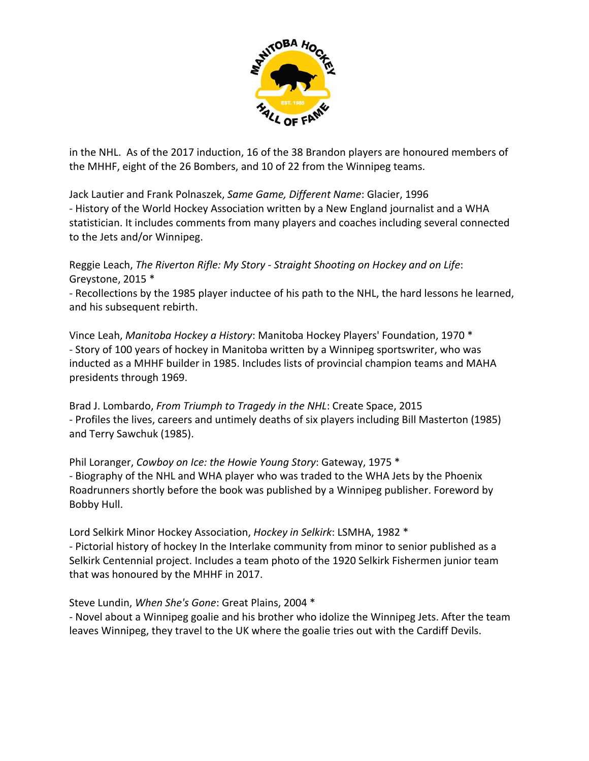

in the NHL. As of the 2017 induction, 16 of the 38 Brandon players are honoured members of the MHHF, eight of the 26 Bombers, and 10 of 22 from the Winnipeg teams.

Jack Lautier and Frank Polnaszek, *Same Game, Different Name*: Glacier, 1996 ‐ History of the World Hockey Association written by a New England journalist and a WHA statistician. It includes comments from many players and coaches including several connected to the Jets and/or Winnipeg.

Reggie Leach, *The Riverton Rifle: My Story ‐ Straight Shooting on Hockey and on Life*: Greystone, 2015 \*

‐ Recollections by the 1985 player inductee of his path to the NHL, the hard lessons he learned, and his subsequent rebirth.

Vince Leah, *Manitoba Hockey a History*: Manitoba Hockey Players' Foundation, 1970 \* ‐ Story of 100 years of hockey in Manitoba written by a Winnipeg sportswriter, who was inducted as a MHHF builder in 1985. Includes lists of provincial champion teams and MAHA presidents through 1969.

Brad J. Lombardo, *From Triumph to Tragedy in the NHL*: Create Space, 2015 ‐ Profiles the lives, careers and untimely deaths of six players including Bill Masterton (1985) and Terry Sawchuk (1985).

Phil Loranger, *Cowboy on Ice: the Howie Young Story*: Gateway, 1975 \* ‐ Biography of the NHL and WHA player who was traded to the WHA Jets by the Phoenix Roadrunners shortly before the book was published by a Winnipeg publisher. Foreword by Bobby Hull.

Lord Selkirk Minor Hockey Association, *Hockey in Selkirk*: LSMHA, 1982 \* ‐ Pictorial history of hockey In the Interlake community from minor to senior published as a Selkirk Centennial project. Includes a team photo of the 1920 Selkirk Fishermen junior team that was honoured by the MHHF in 2017.

Steve Lundin, *When She's Gone*: Great Plains, 2004 \* ‐ Novel about a Winnipeg goalie and his brother who idolize the Winnipeg Jets. After the team leaves Winnipeg, they travel to the UK where the goalie tries out with the Cardiff Devils.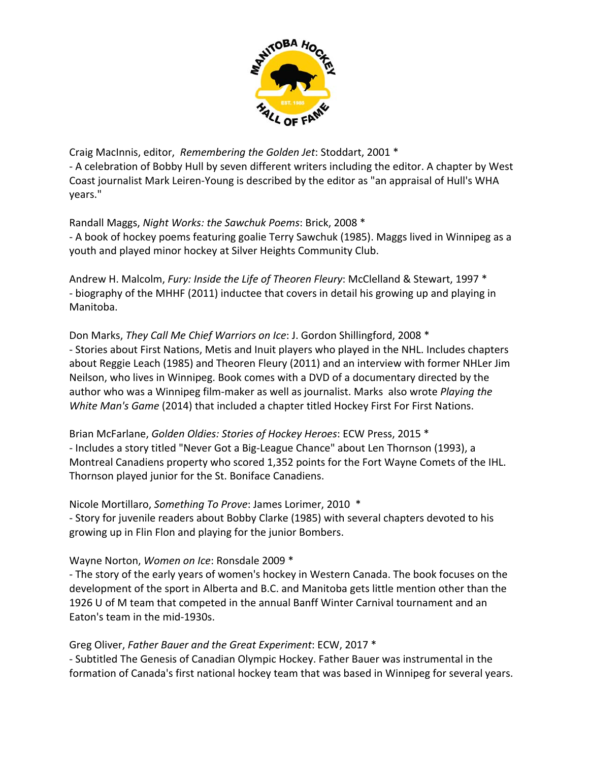

Craig MacInnis, editor, *Remembering the Golden Jet*: Stoddart, 2001 \* ‐ A celebration of Bobby Hull by seven different writers including the editor. A chapter by West Coast journalist Mark Leiren‐Young is described by the editor as "an appraisal of Hull's WHA years."

Randall Maggs, *Night Works: the Sawchuk Poems*: Brick, 2008 \* ‐ A book of hockey poems featuring goalie Terry Sawchuk (1985). Maggs lived in Winnipeg as a youth and played minor hockey at Silver Heights Community Club.

Andrew H. Malcolm, *Fury: Inside the Life of Theoren Fleury*: McClelland & Stewart, 1997 \* ‐ biography of the MHHF (2011) inductee that covers in detail his growing up and playing in Manitoba.

Don Marks, *They Call Me Chief Warriors on Ice*: J. Gordon Shillingford, 2008 \* ‐ Stories about First Nations, Metis and Inuit players who played in the NHL. Includes chapters about Reggie Leach (1985) and Theoren Fleury (2011) and an interview with former NHLer Jim Neilson, who lives in Winnipeg. Book comes with a DVD of a documentary directed by the author who was a Winnipeg film‐maker as well as journalist. Marks also wrote *Playing the White Man's Game* (2014) that included a chapter titled Hockey First For First Nations.

Brian McFarlane, *Golden Oldies: Stories of Hockey Heroes*: ECW Press, 2015 \* ‐ Includes a story titled "Never Got a Big‐League Chance" about Len Thornson (1993), a Montreal Canadiens property who scored 1,352 points for the Fort Wayne Comets of the IHL. Thornson played junior for the St. Boniface Canadiens.

Nicole Mortillaro, *Something To Prove*: James Lorimer, 2010 \* ‐ Story for juvenile readers about Bobby Clarke (1985) with several chapters devoted to his growing up in Flin Flon and playing for the junior Bombers.

Wayne Norton, *Women on Ice*: Ronsdale 2009 \*

‐ The story of the early years of women's hockey in Western Canada. The book focuses on the development of the sport in Alberta and B.C. and Manitoba gets little mention other than the 1926 U of M team that competed in the annual Banff Winter Carnival tournament and an Eaton's team in the mid‐1930s.

Greg Oliver, *Father Bauer and the Great Experiment*: ECW, 2017 \*

‐ Subtitled The Genesis of Canadian Olympic Hockey. Father Bauer was instrumental in the formation of Canada's first national hockey team that was based in Winnipeg for several years.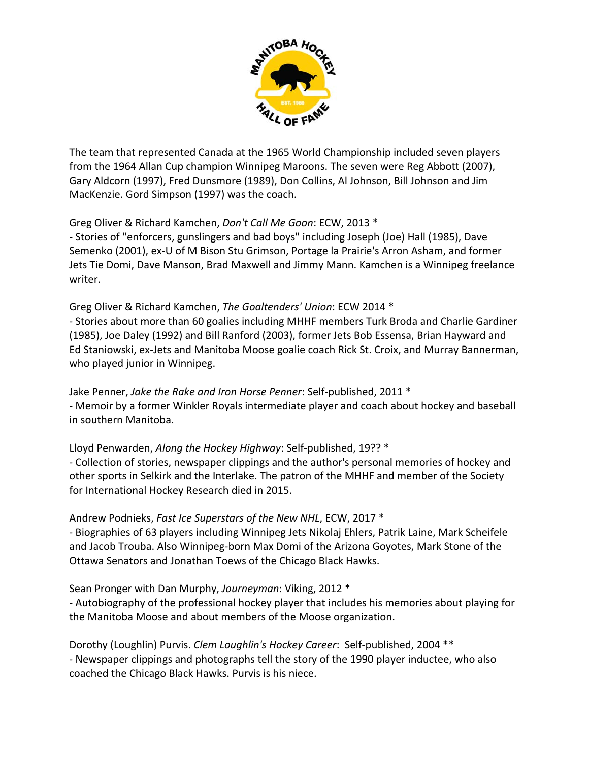

The team that represented Canada at the 1965 World Championship included seven players from the 1964 Allan Cup champion Winnipeg Maroons. The seven were Reg Abbott (2007), Gary Aldcorn (1997), Fred Dunsmore (1989), Don Collins, Al Johnson, Bill Johnson and Jim MacKenzie. Gord Simpson (1997) was the coach.

### Greg Oliver & Richard Kamchen, *Don't Call Me Goon*: ECW, 2013 \*

‐ Stories of "enforcers, gunslingers and bad boys" including Joseph (Joe) Hall (1985), Dave Semenko (2001), ex‐U of M Bison Stu Grimson, Portage la Prairie's Arron Asham, and former Jets Tie Domi, Dave Manson, Brad Maxwell and Jimmy Mann. Kamchen is a Winnipeg freelance writer.

### Greg Oliver & Richard Kamchen, *The Goaltenders' Union*: ECW 2014 \*

‐ Stories about more than 60 goalies including MHHF members Turk Broda and Charlie Gardiner (1985), Joe Daley (1992) and Bill Ranford (2003), former Jets Bob Essensa, Brian Hayward and Ed Staniowski, ex‐Jets and Manitoba Moose goalie coach Rick St. Croix, and Murray Bannerman, who played junior in Winnipeg.

Jake Penner, *Jake the Rake and Iron Horse Penner*: Self‐published, 2011 \* ‐ Memoir by a former Winkler Royals intermediate player and coach about hockey and baseball in southern Manitoba.

Lloyd Penwarden, *Along the Hockey Highway*: Self‐published, 19?? \*

‐ Collection of stories, newspaper clippings and the author's personal memories of hockey and other sports in Selkirk and the Interlake. The patron of the MHHF and member of the Society for International Hockey Research died in 2015.

### Andrew Podnieks, *Fast Ice Superstars of the New NHL*, ECW, 2017 \*

‐ Biographies of 63 players including Winnipeg Jets Nikolaj Ehlers, Patrik Laine, Mark Scheifele and Jacob Trouba. Also Winnipeg‐born Max Domi of the Arizona Goyotes, Mark Stone of the Ottawa Senators and Jonathan Toews of the Chicago Black Hawks.

### Sean Pronger with Dan Murphy, *Journeyman*: Viking, 2012 \*

‐ Autobiography of the professional hockey player that includes his memories about playing for the Manitoba Moose and about members of the Moose organization.

Dorothy (Loughlin) Purvis. *Clem Loughlin's Hockey Career*: Self‐published, 2004 \*\* ‐ Newspaper clippings and photographs tell the story of the 1990 player inductee, who also coached the Chicago Black Hawks. Purvis is his niece.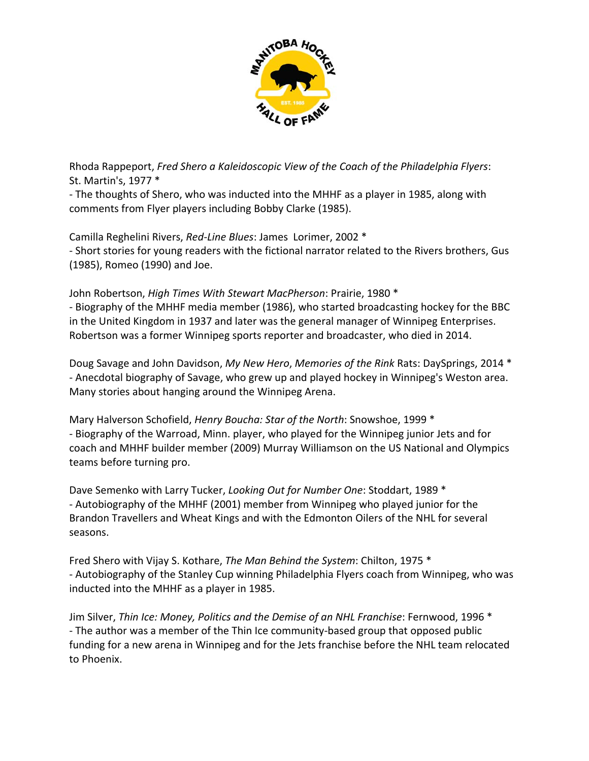

Rhoda Rappeport, *Fred Shero a Kaleidoscopic View of the Coach of the Philadelphia Flyers*: St. Martin's, 1977 \*

‐ The thoughts of Shero, who was inducted into the MHHF as a player in 1985, along with comments from Flyer players including Bobby Clarke (1985).

Camilla Reghelini Rivers, *Red‐Line Blues*: James Lorimer, 2002 \* ‐ Short stories for young readers with the fictional narrator related to the Rivers brothers, Gus (1985), Romeo (1990) and Joe.

John Robertson, *High Times With Stewart MacPherson*: Prairie, 1980 \*

‐ Biography of the MHHF media member (1986), who started broadcasting hockey for the BBC in the United Kingdom in 1937 and later was the general manager of Winnipeg Enterprises. Robertson was a former Winnipeg sports reporter and broadcaster, who died in 2014.

Doug Savage and John Davidson, *My New Hero*, *Memories of the Rink* Rats: DaySprings, 2014 \* ‐ Anecdotal biography of Savage, who grew up and played hockey in Winnipeg's Weston area. Many stories about hanging around the Winnipeg Arena.

Mary Halverson Schofield, *Henry Boucha: Star of the North*: Snowshoe, 1999 \* ‐ Biography of the Warroad, Minn. player, who played for the Winnipeg junior Jets and for coach and MHHF builder member (2009) Murray Williamson on the US National and Olympics teams before turning pro.

Dave Semenko with Larry Tucker, *Looking Out for Number One*: Stoddart, 1989 \* ‐ Autobiography of the MHHF (2001) member from Winnipeg who played junior for the Brandon Travellers and Wheat Kings and with the Edmonton Oilers of the NHL for several seasons.

Fred Shero with Vijay S. Kothare, *The Man Behind the System*: Chilton, 1975 \* ‐ Autobiography of the Stanley Cup winning Philadelphia Flyers coach from Winnipeg, who was inducted into the MHHF as a player in 1985.

Jim Silver, *Thin Ice: Money, Politics and the Demise of an NHL Franchise*: Fernwood, 1996 \* ‐ The author was a member of the Thin Ice community‐based group that opposed public funding for a new arena in Winnipeg and for the Jets franchise before the NHL team relocated to Phoenix.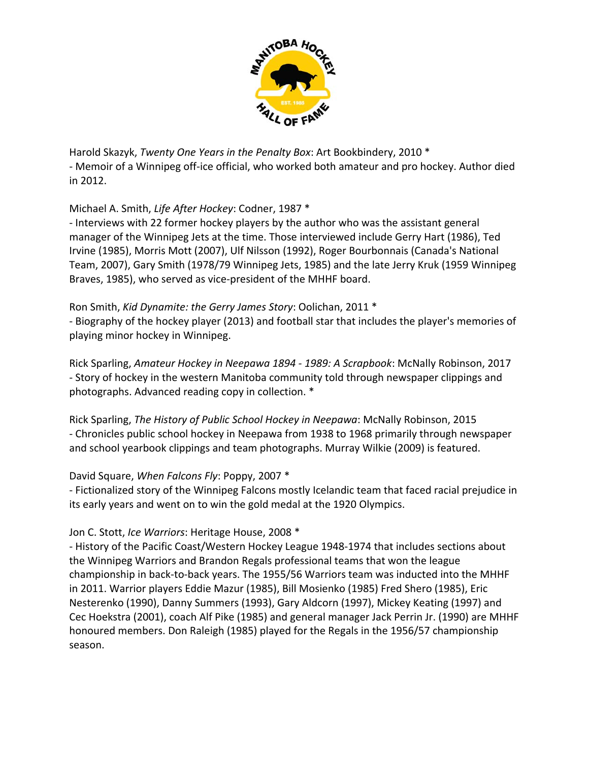

Harold Skazyk, *Twenty One Years in the Penalty Box*: Art Bookbindery, 2010 \* ‐ Memoir of a Winnipeg off‐ice official, who worked both amateur and pro hockey. Author died in 2012.

### Michael A. Smith, *Life After Hockey*: Codner, 1987 \*

‐ Interviews with 22 former hockey players by the author who was the assistant general manager of the Winnipeg Jets at the time. Those interviewed include Gerry Hart (1986), Ted Irvine (1985), Morris Mott (2007), Ulf Nilsson (1992), Roger Bourbonnais (Canada's National Team, 2007), Gary Smith (1978/79 Winnipeg Jets, 1985) and the late Jerry Kruk (1959 Winnipeg Braves, 1985), who served as vice‐president of the MHHF board.

### Ron Smith, *Kid Dynamite: the Gerry James Story*: Oolichan, 2011 \*

‐ Biography of the hockey player (2013) and football star that includes the player's memories of playing minor hockey in Winnipeg.

Rick Sparling, *Amateur Hockey in Neepawa 1894 ‐ 1989: A Scrapbook*: McNally Robinson, 2017 ‐ Story of hockey in the western Manitoba community told through newspaper clippings and photographs. Advanced reading copy in collection. \*

Rick Sparling, *The History of Public School Hockey in Neepawa*: McNally Robinson, 2015 ‐ Chronicles public school hockey in Neepawa from 1938 to 1968 primarily through newspaper and school yearbook clippings and team photographs. Murray Wilkie (2009) is featured.

### David Square, *When Falcons Fly*: Poppy, 2007 \*

‐ Fictionalized story of the Winnipeg Falcons mostly Icelandic team that faced racial prejudice in its early years and went on to win the gold medal at the 1920 Olympics.

### Jon C. Stott, *Ice Warriors*: Heritage House, 2008 \*

‐ History of the Pacific Coast/Western Hockey League 1948‐1974 that includes sections about the Winnipeg Warriors and Brandon Regals professional teams that won the league championship in back‐to‐back years. The 1955/56 Warriors team was inducted into the MHHF in 2011. Warrior players Eddie Mazur (1985), Bill Mosienko (1985) Fred Shero (1985), Eric Nesterenko (1990), Danny Summers (1993), Gary Aldcorn (1997), Mickey Keating (1997) and Cec Hoekstra (2001), coach Alf Pike (1985) and general manager Jack Perrin Jr. (1990) are MHHF honoured members. Don Raleigh (1985) played for the Regals in the 1956/57 championship season.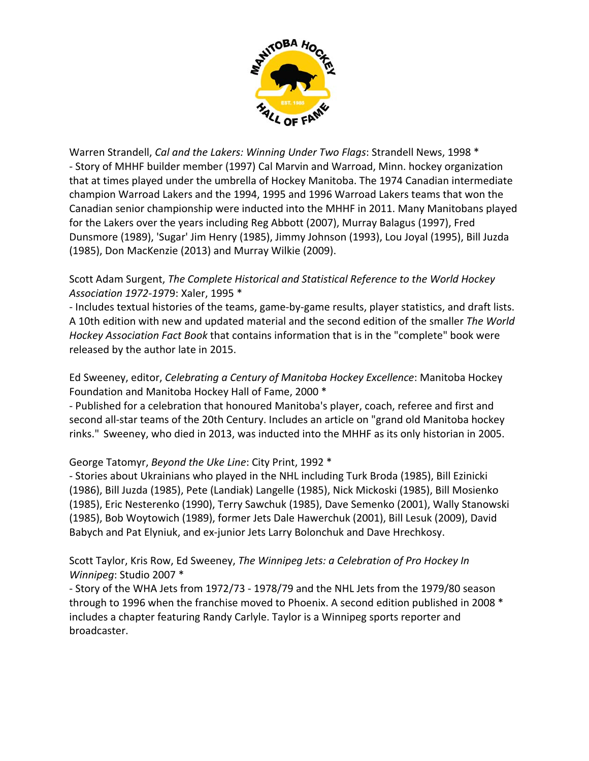

Warren Strandell, *Cal and the Lakers: Winning Under Two Flags*: Strandell News, 1998 \* ‐ Story of MHHF builder member (1997) Cal Marvin and Warroad, Minn. hockey organization that at times played under the umbrella of Hockey Manitoba. The 1974 Canadian intermediate champion Warroad Lakers and the 1994, 1995 and 1996 Warroad Lakers teams that won the Canadian senior championship were inducted into the MHHF in 2011. Many Manitobans played for the Lakers over the years including Reg Abbott (2007), Murray Balagus (1997), Fred Dunsmore (1989), 'Sugar' Jim Henry (1985), Jimmy Johnson (1993), Lou Joyal (1995), Bill Juzda (1985), Don MacKenzie (2013) and Murray Wilkie (2009).

### Scott Adam Surgent, *The Complete Historical and Statistical Reference to the World Hockey Association 1972‐19*79: Xaler, 1995 \*

‐ Includes textual histories of the teams, game‐by‐game results, player statistics, and draft lists. A 10th edition with new and updated material and the second edition of the smaller *The World Hockey Association Fact Book* that contains information that is in the "complete" book were released by the author late in 2015.

Ed Sweeney, editor, *Celebrating a Century of Manitoba Hockey Excellence*: Manitoba Hockey Foundation and Manitoba Hockey Hall of Fame, 2000 \*

‐ Published for a celebration that honoured Manitoba's player, coach, referee and first and second all‐star teams of the 20th Century. Includes an article on "grand old Manitoba hockey rinks." Sweeney, who died in 2013, was inducted into the MHHF as its only historian in 2005.

# George Tatomyr, *Beyond the Uke Line*: City Print, 1992 \*

‐ Stories about Ukrainians who played in the NHL including Turk Broda (1985), Bill Ezinicki (1986), Bill Juzda (1985), Pete (Landiak) Langelle (1985), Nick Mickoski (1985), Bill Mosienko (1985), Eric Nesterenko (1990), Terry Sawchuk (1985), Dave Semenko (2001), Wally Stanowski (1985), Bob Woytowich (1989), former Jets Dale Hawerchuk (2001), Bill Lesuk (2009), David Babych and Pat Elyniuk, and ex‐junior Jets Larry Bolonchuk and Dave Hrechkosy.

### Scott Taylor, Kris Row, Ed Sweeney, *The Winnipeg Jets: a Celebration of Pro Hockey In Winnipeg*: Studio 2007 \*

‐ Story of the WHA Jets from 1972/73 ‐ 1978/79 and the NHL Jets from the 1979/80 season through to 1996 when the franchise moved to Phoenix. A second edition published in 2008 \* includes a chapter featuring Randy Carlyle. Taylor is a Winnipeg sports reporter and broadcaster.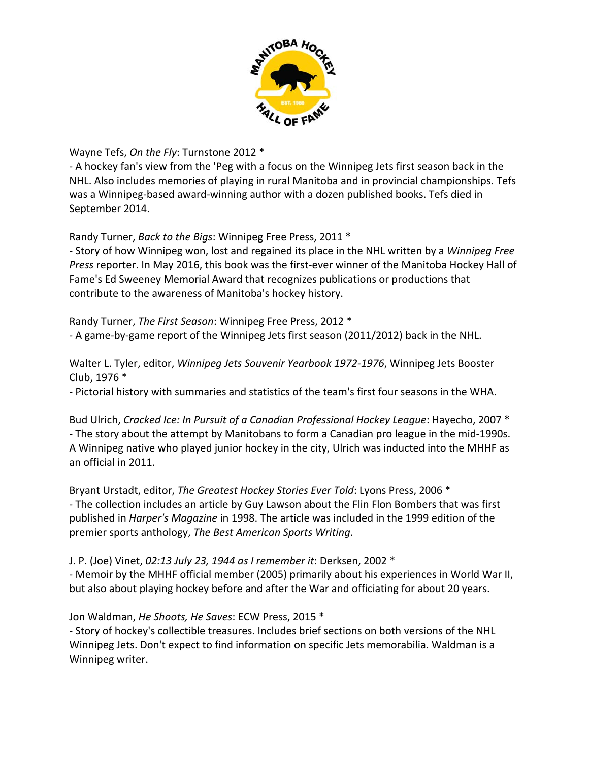

Wayne Tefs, *On the Fly*: Turnstone 2012 \*

‐ A hockey fan's view from the 'Peg with a focus on the Winnipeg Jets first season back in the NHL. Also includes memories of playing in rural Manitoba and in provincial championships. Tefs was a Winnipeg‐based award‐winning author with a dozen published books. Tefs died in September 2014.

Randy Turner, *Back to the Bigs*: Winnipeg Free Press, 2011 \*

‐ Story of how Winnipeg won, lost and regained its place in the NHL written by a *Winnipeg Free Press* reporter. In May 2016, this book was the first‐ever winner of the Manitoba Hockey Hall of Fame's Ed Sweeney Memorial Award that recognizes publications or productions that contribute to the awareness of Manitoba's hockey history.

Randy Turner, *The First Season*: Winnipeg Free Press, 2012 \* ‐ A game‐by‐game report of the Winnipeg Jets first season (2011/2012) back in the NHL.

Walter L. Tyler, editor, *Winnipeg Jets Souvenir Yearbook 1972‐1976*, Winnipeg Jets Booster Club, 1976 \*

‐ Pictorial history with summaries and statistics of the team's first four seasons in the WHA.

Bud Ulrich, *Cracked Ice: In Pursuit of a Canadian Professional Hockey League*: Hayecho, 2007 \* ‐ The story about the attempt by Manitobans to form a Canadian pro league in the mid‐1990s. A Winnipeg native who played junior hockey in the city, Ulrich was inducted into the MHHF as an official in 2011.

Bryant Urstadt, editor, *The Greatest Hockey Stories Ever Told*: Lyons Press, 2006 \* ‐ The collection includes an article by Guy Lawson about the Flin Flon Bombers that was first published in *Harper's Magazine* in 1998. The article was included in the 1999 edition of the premier sports anthology, *The Best American Sports Writing*.

J. P. (Joe) Vinet, *02:13 July 23, 1944 as I remember it*: Derksen, 2002 \*

‐ Memoir by the MHHF official member (2005) primarily about his experiences in World War II, but also about playing hockey before and after the War and officiating for about 20 years.

Jon Waldman, *He Shoots, He Saves*: ECW Press, 2015 \*

‐ Story of hockey's collectible treasures. Includes brief sections on both versions of the NHL Winnipeg Jets. Don't expect to find information on specific Jets memorabilia. Waldman is a Winnipeg writer.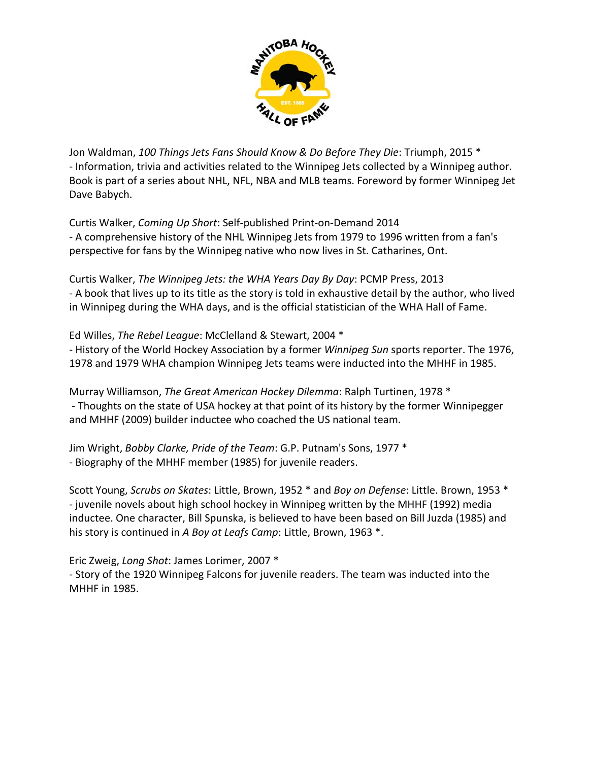

Jon Waldman, *100 Things Jets Fans Should Know & Do Before They Die*: Triumph, 2015 \* ‐ Information, trivia and activities related to the Winnipeg Jets collected by a Winnipeg author. Book is part of a series about NHL, NFL, NBA and MLB teams. Foreword by former Winnipeg Jet Dave Babych.

Curtis Walker, *Coming Up Short*: Self‐published Print‐on‐Demand 2014 ‐ A comprehensive history of the NHL Winnipeg Jets from 1979 to 1996 written from a fan's perspective for fans by the Winnipeg native who now lives in St. Catharines, Ont.

Curtis Walker, *The Winnipeg Jets: the WHA Years Day By Day*: PCMP Press, 2013 ‐ A book that lives up to its title as the story is told in exhaustive detail by the author, who lived in Winnipeg during the WHA days, and is the official statistician of the WHA Hall of Fame.

### Ed Willes, *The Rebel League*: McClelland & Stewart, 2004 \*

‐ History of the World Hockey Association by a former *Winnipeg Sun* sports reporter. The 1976, 1978 and 1979 WHA champion Winnipeg Jets teams were inducted into the MHHF in 1985.

Murray Williamson, *The Great American Hockey Dilemma*: Ralph Turtinen, 1978 \* ‐ Thoughts on the state of USA hockey at that point of its history by the former Winnipegger and MHHF (2009) builder inductee who coached the US national team.

Jim Wright, *Bobby Clarke, Pride of the Team*: G.P. Putnam's Sons, 1977 \* ‐ Biography of the MHHF member (1985) for juvenile readers.

Scott Young, *Scrubs on Skates*: Little, Brown, 1952 \* and *Boy on Defense*: Little. Brown, 1953 \* ‐ juvenile novels about high school hockey in Winnipeg written by the MHHF (1992) media inductee. One character, Bill Spunska, is believed to have been based on Bill Juzda (1985) and his story is continued in *A Boy at Leafs Camp*: Little, Brown, 1963 \*.

Eric Zweig, *Long Shot*: James Lorimer, 2007 \*

‐ Story of the 1920 Winnipeg Falcons for juvenile readers. The team was inducted into the MHHF in 1985.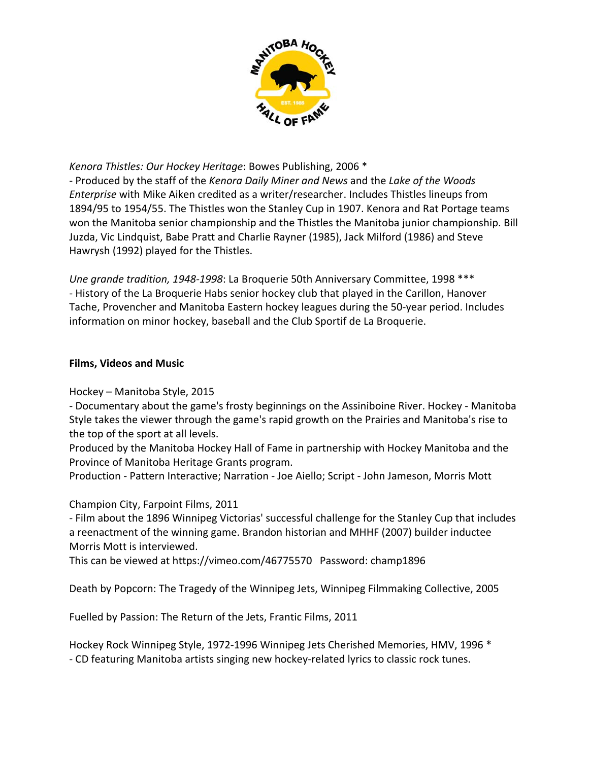

### *Kenora Thistles: Our Hockey Heritage*: Bowes Publishing, 2006 \*

‐ Produced by the staff of the *Kenora Daily Miner and News* and the *Lake of the Woods Enterprise* with Mike Aiken credited as a writer/researcher. Includes Thistles lineups from 1894/95 to 1954/55. The Thistles won the Stanley Cup in 1907. Kenora and Rat Portage teams won the Manitoba senior championship and the Thistles the Manitoba junior championship. Bill Juzda, Vic Lindquist, Babe Pratt and Charlie Rayner (1985), Jack Milford (1986) and Steve Hawrysh (1992) played for the Thistles.

*Une grande tradition, 1948‐1998*: La Broquerie 50th Anniversary Committee, 1998 \*\*\* ‐ History of the La Broquerie Habs senior hockey club that played in the Carillon, Hanover Tache, Provencher and Manitoba Eastern hockey leagues during the 50‐year period. Includes information on minor hockey, baseball and the Club Sportif de La Broquerie.

### **Films, Videos and Music**

### Hockey – Manitoba Style, 2015

‐ Documentary about the game's frosty beginnings on the Assiniboine River. Hockey ‐ Manitoba Style takes the viewer through the game's rapid growth on the Prairies and Manitoba's rise to the top of the sport at all levels.

Produced by the Manitoba Hockey Hall of Fame in partnership with Hockey Manitoba and the Province of Manitoba Heritage Grants program.

Production ‐ Pattern Interactive; Narration ‐ Joe Aiello; Script ‐ John Jameson, Morris Mott

Champion City, Farpoint Films, 2011

‐ Film about the 1896 Winnipeg Victorias' successful challenge for the Stanley Cup that includes a reenactment of the winning game. Brandon historian and MHHF (2007) builder inductee Morris Mott is interviewed.

This can be viewed at https://vimeo.com/46775570 Password: champ1896

Death by Popcorn: The Tragedy of the Winnipeg Jets, Winnipeg Filmmaking Collective, 2005

Fuelled by Passion: The Return of the Jets, Frantic Films, 2011

Hockey Rock Winnipeg Style, 1972‐1996 Winnipeg Jets Cherished Memories, HMV, 1996 \* ‐ CD featuring Manitoba artists singing new hockey‐related lyrics to classic rock tunes.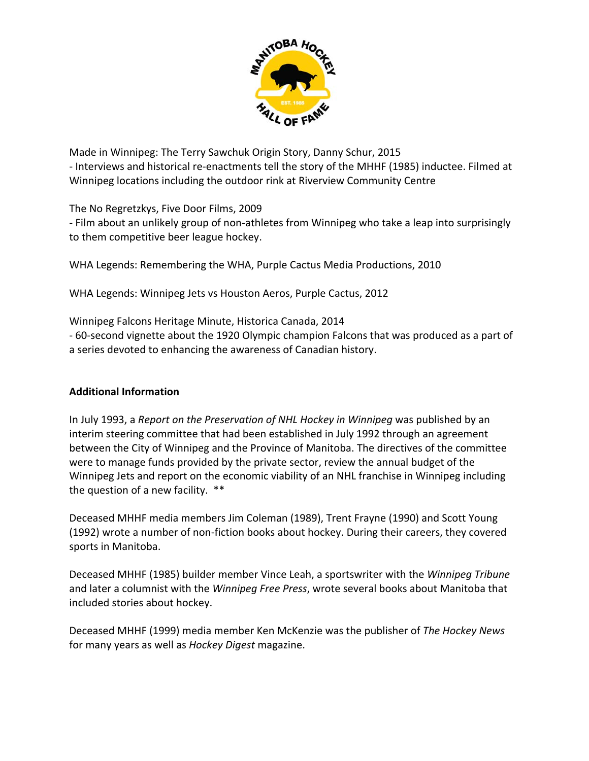

Made in Winnipeg: The Terry Sawchuk Origin Story, Danny Schur, 2015 ‐ Interviews and historical re‐enactments tell the story of the MHHF (1985) inductee. Filmed at Winnipeg locations including the outdoor rink at Riverview Community Centre

The No Regretzkys, Five Door Films, 2009

‐ Film about an unlikely group of non‐athletes from Winnipeg who take a leap into surprisingly to them competitive beer league hockey.

WHA Legends: Remembering the WHA, Purple Cactus Media Productions, 2010

WHA Legends: Winnipeg Jets vs Houston Aeros, Purple Cactus, 2012

Winnipeg Falcons Heritage Minute, Historica Canada, 2014

‐ 60‐second vignette about the 1920 Olympic champion Falcons that was produced as a part of a series devoted to enhancing the awareness of Canadian history.

### **Additional Information**

In July 1993, a *Report on the Preservation of NHL Hockey in Winnipeg* was published by an interim steering committee that had been established in July 1992 through an agreement between the City of Winnipeg and the Province of Manitoba. The directives of the committee were to manage funds provided by the private sector, review the annual budget of the Winnipeg Jets and report on the economic viability of an NHL franchise in Winnipeg including the question of a new facility. \*\*

Deceased MHHF media members Jim Coleman (1989), Trent Frayne (1990) and Scott Young (1992) wrote a number of non‐fiction books about hockey. During their careers, they covered sports in Manitoba.

Deceased MHHF (1985) builder member Vince Leah, a sportswriter with the *Winnipeg Tribune* and later a columnist with the *Winnipeg Free Press*, wrote several books about Manitoba that included stories about hockey.

Deceased MHHF (1999) media member Ken McKenzie was the publisher of *The Hockey News* for many years as well as *Hockey Digest* magazine.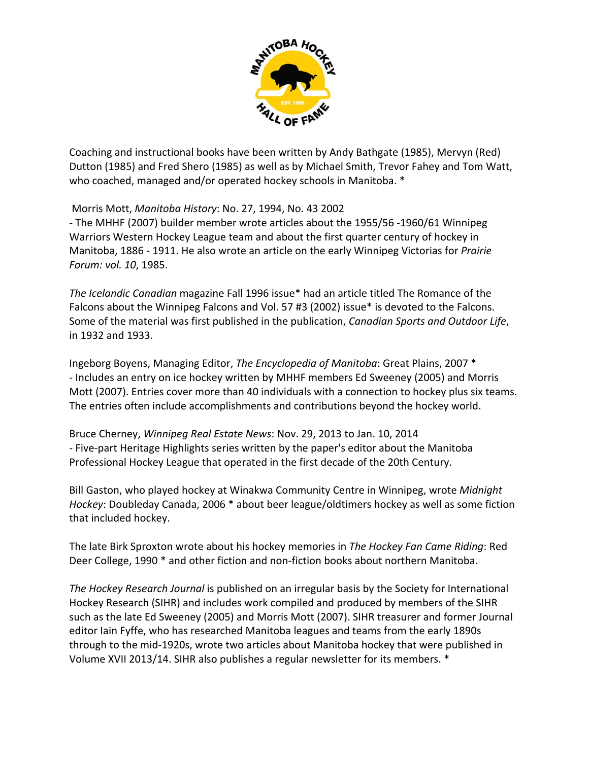

Coaching and instructional books have been written by Andy Bathgate (1985), Mervyn (Red) Dutton (1985) and Fred Shero (1985) as well as by Michael Smith, Trevor Fahey and Tom Watt, who coached, managed and/or operated hockey schools in Manitoba. \*

Morris Mott, *Manitoba History*: No. 27, 1994, No. 43 2002

‐ The MHHF (2007) builder member wrote articles about the 1955/56 ‐1960/61 Winnipeg Warriors Western Hockey League team and about the first quarter century of hockey in Manitoba, 1886 ‐ 1911. He also wrote an article on the early Winnipeg Victorias for *Prairie Forum: vol. 10*, 1985.

*The Icelandic Canadian* magazine Fall 1996 issue\* had an article titled The Romance of the Falcons about the Winnipeg Falcons and Vol. 57 #3 (2002) issue\* is devoted to the Falcons. Some of the material was first published in the publication, *Canadian Sports and Outdoor Life*, in 1932 and 1933.

Ingeborg Boyens, Managing Editor, *The Encyclopedia of Manitoba*: Great Plains, 2007 \* ‐ Includes an entry on ice hockey written by MHHF members Ed Sweeney (2005) and Morris Mott (2007). Entries cover more than 40 individuals with a connection to hockey plus six teams. The entries often include accomplishments and contributions beyond the hockey world.

Bruce Cherney, *Winnipeg Real Estate News*: Nov. 29, 2013 to Jan. 10, 2014 ‐ Five‐part Heritage Highlights series written by the paper's editor about the Manitoba Professional Hockey League that operated in the first decade of the 20th Century.

Bill Gaston, who played hockey at Winakwa Community Centre in Winnipeg, wrote *Midnight Hockey*: Doubleday Canada, 2006 \* about beer league/oldtimers hockey as well as some fiction that included hockey.

The late Birk Sproxton wrote about his hockey memories in *The Hockey Fan Came Riding*: Red Deer College, 1990 \* and other fiction and non-fiction books about northern Manitoba.

*The Hockey Research Journal* is published on an irregular basis by the Society for International Hockey Research (SIHR) and includes work compiled and produced by members of the SIHR such as the late Ed Sweeney (2005) and Morris Mott (2007). SIHR treasurer and former Journal editor Iain Fyffe, who has researched Manitoba leagues and teams from the early 1890s through to the mid‐1920s, wrote two articles about Manitoba hockey that were published in Volume XVII 2013/14. SIHR also publishes a regular newsletter for its members. \*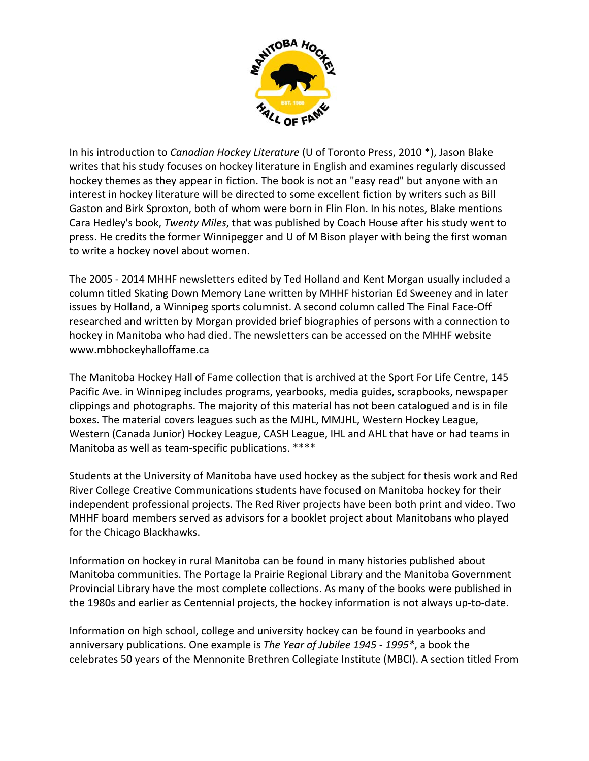

In his introduction to *Canadian Hockey Literature* (U of Toronto Press, 2010 \*), Jason Blake writes that his study focuses on hockey literature in English and examines regularly discussed hockey themes as they appear in fiction. The book is not an "easy read" but anyone with an interest in hockey literature will be directed to some excellent fiction by writers such as Bill Gaston and Birk Sproxton, both of whom were born in Flin Flon. In his notes, Blake mentions Cara Hedley's book, *Twenty Miles*, that was published by Coach House after his study went to press. He credits the former Winnipegger and U of M Bison player with being the first woman to write a hockey novel about women.

The 2005 ‐ 2014 MHHF newsletters edited by Ted Holland and Kent Morgan usually included a column titled Skating Down Memory Lane written by MHHF historian Ed Sweeney and in later issues by Holland, a Winnipeg sports columnist. A second column called The Final Face-Off researched and written by Morgan provided brief biographies of persons with a connection to hockey in Manitoba who had died. The newsletters can be accessed on the MHHF website www.mbhockeyhalloffame.ca

The Manitoba Hockey Hall of Fame collection that is archived at the Sport For Life Centre, 145 Pacific Ave. in Winnipeg includes programs, yearbooks, media guides, scrapbooks, newspaper clippings and photographs. The majority of this material has not been catalogued and is in file boxes. The material covers leagues such as the MJHL, MMJHL, Western Hockey League, Western (Canada Junior) Hockey League, CASH League, IHL and AHL that have or had teams in Manitoba as well as team-specific publications. \*\*\*\*

Students at the University of Manitoba have used hockey as the subject for thesis work and Red River College Creative Communications students have focused on Manitoba hockey for their independent professional projects. The Red River projects have been both print and video. Two MHHF board members served as advisors for a booklet project about Manitobans who played for the Chicago Blackhawks.

Information on hockey in rural Manitoba can be found in many histories published about Manitoba communities. The Portage la Prairie Regional Library and the Manitoba Government Provincial Library have the most complete collections. As many of the books were published in the 1980s and earlier as Centennial projects, the hockey information is not always up‐to‐date.

Information on high school, college and university hockey can be found in yearbooks and anniversary publications. One example is *The Year of Jubilee 1945 ‐ 1995\**, a book the celebrates 50 years of the Mennonite Brethren Collegiate Institute (MBCI). A section titled From